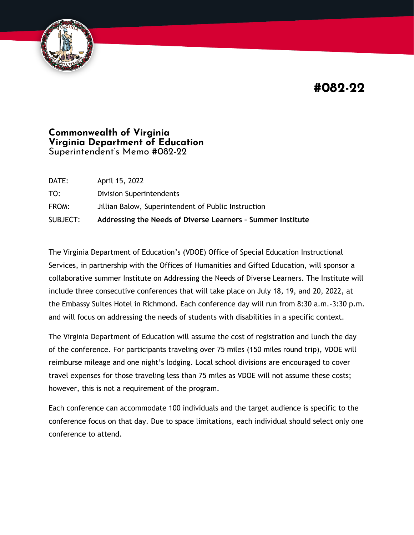**#082-22**



## **Commonwealth of Virginia Virginia Department of Education** Superintendent's Memo #082-22

| SUBJECT: | Addressing the Needs of Diverse Learners - Summer Institute |
|----------|-------------------------------------------------------------|
| FROM:    | Jillian Balow, Superintendent of Public Instruction         |
| TO:      | <b>Division Superintendents</b>                             |
| DATE:    | April 15, 2022                                              |

The Virginia Department of Education's (VDOE) Office of Special Education Instructional Services, in partnership with the Offices of Humanities and Gifted Education, will sponsor a collaborative summer Institute on Addressing the Needs of Diverse Learners. The Institute will include three consecutive conferences that will take place on July 18, 19, and 20, 2022, at the Embassy Suites Hotel in Richmond. Each conference day will run from 8:30 a.m.-3:30 p.m. and will focus on addressing the needs of students with disabilities in a specific context.

The Virginia Department of Education will assume the cost of registration and lunch the day of the conference. For participants traveling over 75 miles (150 miles round trip), VDOE will reimburse mileage and one night's lodging. Local school divisions are encouraged to cover travel expenses for those traveling less than 75 miles as VDOE will not assume these costs; however, this is not a requirement of the program.

Each conference can accommodate 100 individuals and the target audience is specific to the conference focus on that day. Due to space limitations, each individual should select only one conference to attend.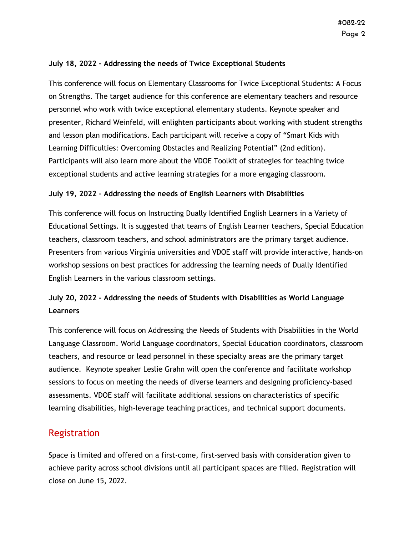### **July 18, 2022 - Addressing the needs of Twice Exceptional Students**

This conference will focus on Elementary Classrooms for Twice Exceptional Students: A Focus on Strengths. The target audience for this conference are elementary teachers and resource personnel who work with twice exceptional elementary students. Keynote speaker and presenter, Richard Weinfeld, will enlighten participants about working with student strengths and lesson plan modifications. Each participant will receive a copy of "Smart Kids with Learning Difficulties: Overcoming Obstacles and Realizing Potential" (2nd edition). Participants will also learn more about the VDOE Toolkit of strategies for teaching twice exceptional students and active learning strategies for a more engaging classroom.

### **July 19, 2022 - Addressing the needs of English Learners with Disabilities**

This conference will focus on Instructing Dually Identified English Learners in a Variety of Educational Settings. It is suggested that teams of English Learner teachers, Special Education teachers, classroom teachers, and school administrators are the primary target audience. Presenters from various Virginia universities and VDOE staff will provide interactive, hands-on workshop sessions on best practices for addressing the learning needs of Dually Identified English Learners in the various classroom settings.

# **July 20, 2022 - Addressing the needs of Students with Disabilities as World Language Learners**

This conference will focus on Addressing the Needs of Students with Disabilities in the World Language Classroom. World Language coordinators, Special Education coordinators, classroom teachers, and resource or lead personnel in these specialty areas are the primary target audience. Keynote speaker Leslie Grahn will open the conference and facilitate workshop sessions to focus on meeting the needs of diverse learners and designing proficiency-based assessments. VDOE staff will facilitate additional sessions on characteristics of specific learning disabilities, high-leverage teaching practices, and technical support documents.

## Registration

Space is limited and offered on a first-come, first-served basis with consideration given to achieve parity across school divisions until all participant spaces are filled. Registration will close on June 15, 2022.